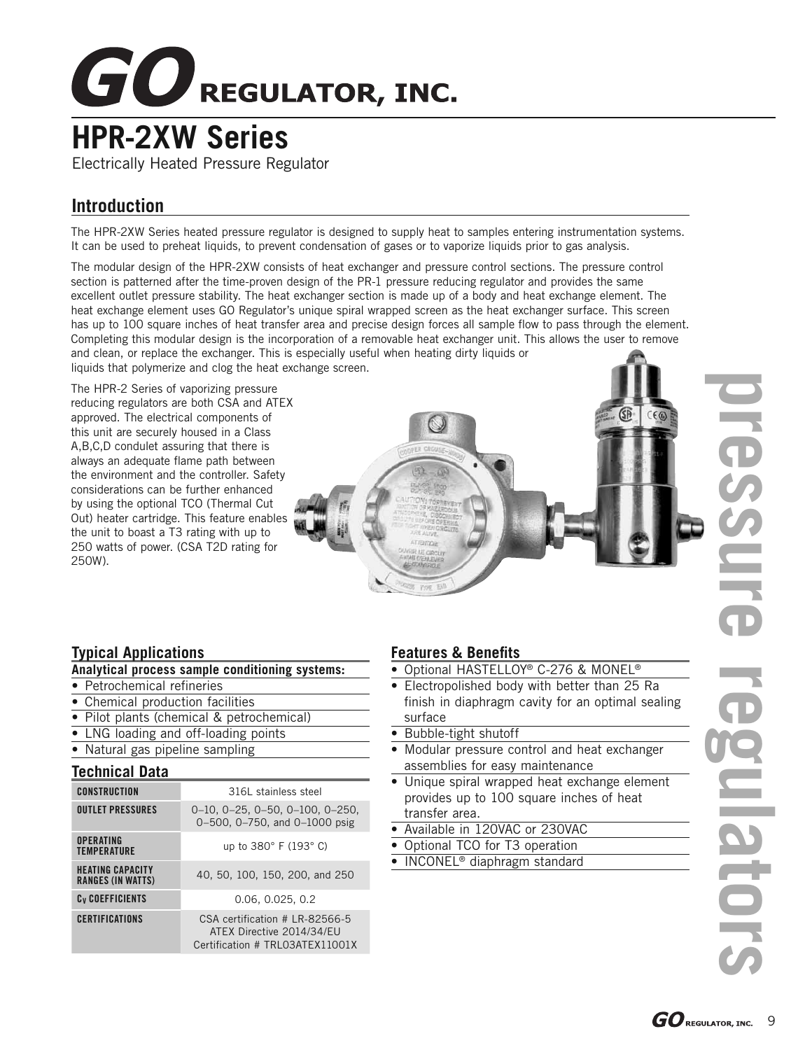# $GO$ REGULATOR, INC.

## **HPR-2XW Series**

Electrically Heated Pressure Regulator

## **Introduction**

The HPR-2XW Series heated pressure regulator is designed to supply heat to samples entering instrumentation systems. It can be used to preheat liquids, to prevent condensation of gases or to vaporize liquids prior to gas analysis.

The modular design of the HPR-2XW consists of heat exchanger and pressure control sections. The pressure control section is patterned after the time-proven design of the PR-1 pressure reducing regulator and provides the same excellent outlet pressure stability. The heat exchanger section is made up of a body and heat exchange element. The heat exchange element uses GO Regulator's unique spiral wrapped screen as the heat exchanger surface. This screen has up to 100 square inches of heat transfer area and precise design forces all sample flow to pass through the element. Completing this modular design is the incorporation of a removable heat exchanger unit. This allows the user to remove and clean, or replace the exchanger. This is especially useful when heating dirty liquids or liquids that polymerize and clog the heat exchange screen.

The HPR-2 Series of vaporizing pressure reducing regulators are both CSA and ATEX approved. The electrical components of this unit are securely housed in a Class A,B,C,D condulet assuring that there is always an adequate flame path between the environment and the controller. Safety considerations can be further enhanced by using the optional TCO (Thermal Cut Out) heater cartridge. This feature enables the unit to boast a T3 rating with up to 250 watts of power. (CSA T2D rating for 250W).

#### **Typical Applications**

#### **Analytical process sample conditioning systems:**

- Petrochemical refineries
- Chemical production facilities
- Pilot plants (chemical & petrochemical)
- LNG loading and off-loading points
- Natural gas pipeline sampling

#### **Technical Data**

| <b>CONSTRUCTION</b>                                 | 316L stainless steel                                                                           |  |  |  |  |  |
|-----------------------------------------------------|------------------------------------------------------------------------------------------------|--|--|--|--|--|
| <b>OUTLET PRESSURES</b>                             | $0-10$ , $0-25$ , $0-50$ , $0-100$ , $0-250$ ,<br>0-500, 0-750, and 0-1000 psig                |  |  |  |  |  |
| <b>OPERATING</b><br><b>TEMPERATURE</b>              | up to 380° F (193° C)                                                                          |  |  |  |  |  |
| <b>HEATING CAPACITY</b><br><b>RANGES (IN WATTS)</b> | 40, 50, 100, 150, 200, and 250                                                                 |  |  |  |  |  |
| C <sub>v</sub> COEFFICIENTS                         | 0.06, 0.025, 0.2                                                                               |  |  |  |  |  |
| <b>CERTIFICATIONS</b>                               | CSA certification # LR-82566-5<br>ATEX Directive 2014/34/EU<br>Certification # TRL03ATEX11001X |  |  |  |  |  |

#### **Features & Benefits**

- Optional HASTELLOY<sup>®</sup> C-276 & MONEL<sup>®</sup>
- Electropolished body with better than 25 Ra finish in diaphragm cavity for an optimal sealing surface
- Bubble-tight shutoff
- Modular pressure control and heat exchanger assemblies for easy maintenance
- Unique spiral wrapped heat exchange element provides up to 100 square inches of heat transfer area.
- Available in 120VAC or 230VAC
- Optional TCO for T3 operation
- INCONEL<sup>®</sup> diaphragm standard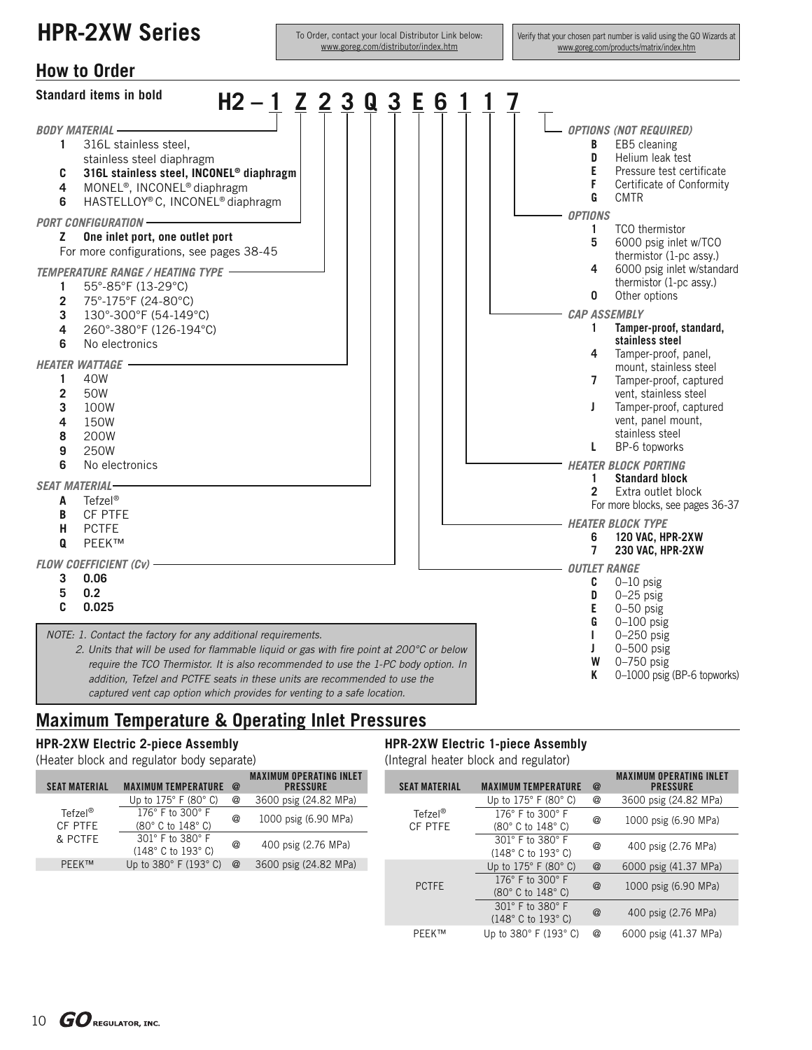## **HPR-2XW Series**

To Order, contact your local Distributor Link below: www.goreg.com/distributor/index.htm

Verify that your chosen part number is valid using the GO Wizards at www.goreg.com/products/matrix/index.htm



### **Maximum Temperature & Operating Inlet Pressures**

#### **HPR-2XW Electric 2-piece Assembly**

(Heater block and regulator body separate)

#### **HPR-2XW Electric 1-piece Assembly**

(Integral heater block and regulator)

| <b>SEAT MATERIAL</b>             | <b>MAXIMUM TEMPERATURE</b>                                                             | $\omega$   | <b>MAXIMUM OPERATING INLET</b><br><b>PRESSURE</b> |  | <b>SEAT MATERIAL</b> | <b>MAXIMUM TEMPERATURE</b>                                                             | $^{\circ}$     | <b>MAXIMUM OPERATING INLET</b><br><b>PRESSURE</b> |
|----------------------------------|----------------------------------------------------------------------------------------|------------|---------------------------------------------------|--|----------------------|----------------------------------------------------------------------------------------|----------------|---------------------------------------------------|
| $Tefzel^@$<br>CF PTFE<br>& PCTFE | Up to $175^\circ$ F (80 $^\circ$ C)                                                    | @          | 3600 psig (24.82 MPa)                             |  |                      | Up to $175^\circ$ F (80 $^\circ$ C)                                                    | @              | 3600 psig (24.82 MPa)                             |
|                                  | 176 $^{\circ}$ F to 300 $^{\circ}$ F<br>$(80^\circ \text{ C to } 148^\circ \text{ C})$ | $^{\circ}$ | 1000 psig (6.90 MPa)                              |  | Tefzel®<br>CF PTFE   | 176° F to 300° F<br>$(80^\circ \text{ C to } 148^\circ \text{ C})$                     | @              | 1000 psig (6.90 MPa)                              |
|                                  | $301^\circ$ F to $380^\circ$ F<br>(148°C to 193°C)                                     | $^{\circ}$ | 400 psig (2.76 MPa)                               |  |                      | 301° F to 380° F<br>$(148^\circ \text{ C to } 193^\circ \text{ C})$                    | @              | 400 psig (2.76 MPa)                               |
| <b>PEEK™</b>                     | Up to $380^\circ$ F (193 $^\circ$ C)                                                   | @          | 3600 psig (24.82 MPa)                             |  |                      | Up to $175^\circ$ F (80 $^\circ$ C)                                                    | $^{\circledR}$ | 6000 psig (41.37 MPa)                             |
|                                  |                                                                                        |            |                                                   |  | <b>PCTFE</b>         | 176 $^{\circ}$ F to 300 $^{\circ}$ F<br>$(80^\circ \text{ C to } 148^\circ \text{ C})$ | $^{\circledR}$ | 1000 psig (6.90 MPa)                              |
|                                  |                                                                                        |            |                                                   |  |                      | 301° F to 380° F<br>$(148^\circ \text{ C to } 193^\circ \text{ C})$                    | $^{\circledR}$ | 400 psig (2.76 MPa)                               |

PEEK™ Up to 380° F (193° C) @ 6000 psig (41.37 MPa)